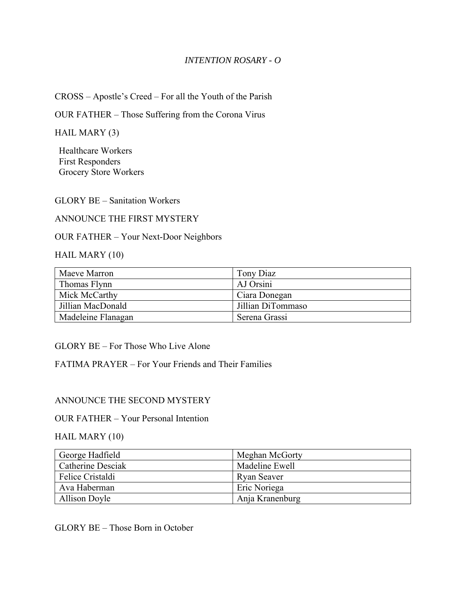### *INTENTION ROSARY - O*

CROSS – Apostle's Creed – For all the Youth of the Parish

OUR FATHER – Those Suffering from the Corona Virus

HAIL MARY (3)

Healthcare Workers First Responders Grocery Store Workers

GLORY BE – Sanitation Workers

### ANNOUNCE THE FIRST MYSTERY

OUR FATHER – Your Next-Door Neighbors

HAIL MARY (10)

| Maeve Marron       | Tony Diaz         |
|--------------------|-------------------|
| Thomas Flynn       | AJ Orsini         |
| Mick McCarthy      | Ciara Donegan     |
| Jillian MacDonald  | Jillian DiTommaso |
| Madeleine Flanagan | Serena Grassi     |

GLORY BE – For Those Who Live Alone

FATIMA PRAYER – For Your Friends and Their Families

#### ANNOUNCE THE SECOND MYSTERY

#### OUR FATHER – Your Personal Intention

#### HAIL MARY (10)

| George Hadfield          | Meghan McGorty  |
|--------------------------|-----------------|
| <b>Catherine Desciak</b> | Madeline Ewell  |
| Felice Cristaldi         | Ryan Seaver     |
| Ava Haberman             | Eric Noriega    |
| <b>Allison Doyle</b>     | Anja Kranenburg |

GLORY BE – Those Born in October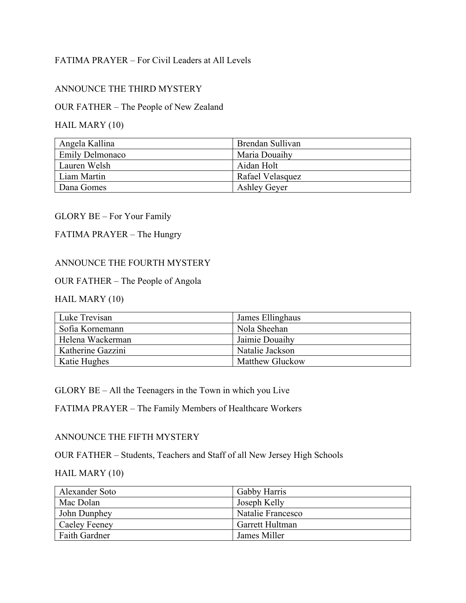## FATIMA PRAYER – For Civil Leaders at All Levels

## ANNOUNCE THE THIRD MYSTERY

# OUR FATHER – The People of New Zealand

## HAIL MARY (10)

| Angela Kallina         | Brendan Sullivan    |
|------------------------|---------------------|
| <b>Emily Delmonaco</b> | Maria Douaihy       |
| Lauren Welsh           | Aidan Holt          |
| Liam Martin            | Rafael Velasquez    |
| Dana Gomes             | <b>Ashley Gever</b> |

#### GLORY BE – For Your Family

## FATIMA PRAYER – The Hungry

### ANNOUNCE THE FOURTH MYSTERY

#### OUR FATHER – The People of Angola

## HAIL MARY (10)

| Luke Trevisan     | James Ellinghaus       |
|-------------------|------------------------|
| Sofia Kornemann   | Nola Sheehan           |
| Helena Wackerman  | Jaimie Douaihy         |
| Katherine Gazzini | Natalie Jackson        |
| Katie Hughes      | <b>Matthew Gluckow</b> |

GLORY BE – All the Teenagers in the Town in which you Live

FATIMA PRAYER – The Family Members of Healthcare Workers

### ANNOUNCE THE FIFTH MYSTERY

OUR FATHER – Students, Teachers and Staff of all New Jersey High Schools

### HAIL MARY (10)

| Alexander Soto       | Gabby Harris      |
|----------------------|-------------------|
| Mac Dolan            | Joseph Kelly      |
| John Dunphey         | Natalie Francesco |
| Caeley Feeney        | Garrett Hultman   |
| <b>Faith Gardner</b> | James Miller      |